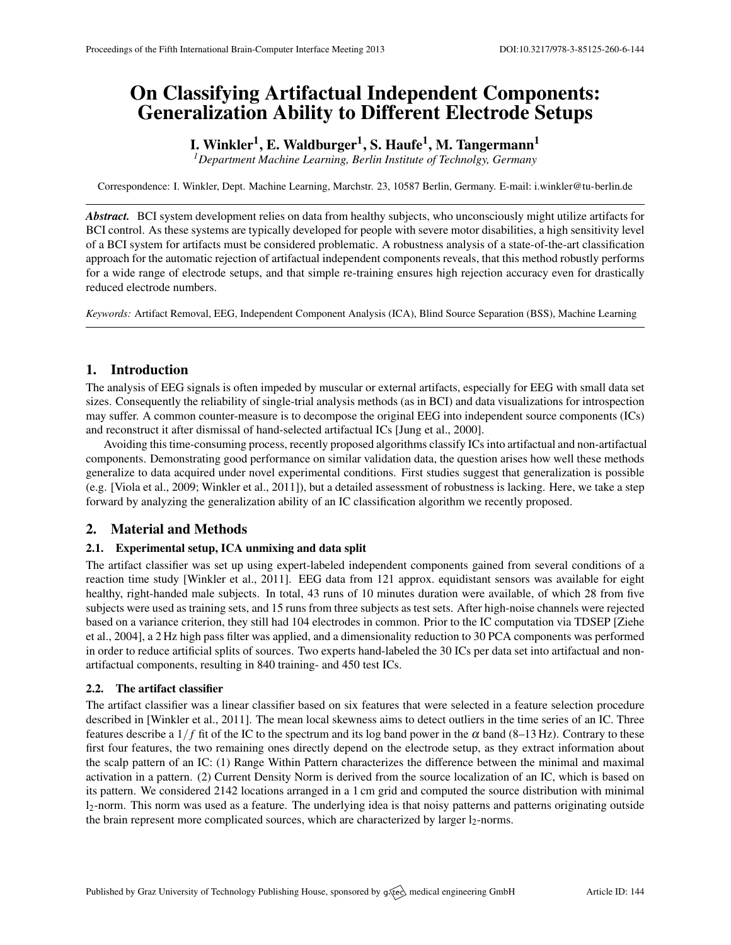# On Classifying Artifactual Independent Components: Generalization Ability to Different Electrode Setups

## I. Winkler $^1$ , E. Waldburger $^1$ , S. Haufe $^1$ , M. Tangermann $^1$

*<sup>1</sup>Department Machine Learning, Berlin Institute of Technolgy, Germany*

Correspondence: I. Winkler, Dept. Machine Learning, Marchstr. 23, 10587 Berlin, Germany. E-mail: [i.winkler@tu-berlin.de](mailto:i.winkler@tu-berlin.de)

*Abstract.* BCI system development relies on data from healthy subjects, who unconsciously might utilize artifacts for BCI control. As these systems are typically developed for people with severe motor disabilities, a high sensitivity level of a BCI system for artifacts must be considered problematic. A robustness analysis of a state-of-the-art classification approach for the automatic rejection of artifactual independent components reveals, that this method robustly performs for a wide range of electrode setups, and that simple re-training ensures high rejection accuracy even for drastically reduced electrode numbers.

*Keywords:* Artifact Removal, EEG, Independent Component Analysis (ICA), Blind Source Separation (BSS), Machine Learning

## 1. Introduction

The analysis of EEG signals is often impeded by muscular or external artifacts, especially for EEG with small data set sizes. Consequently the reliability of single-trial analysis methods (as in BCI) and data visualizations for introspection may suffer. A common counter-measure is to decompose the original EEG into independent source components (ICs) and reconstruct it after dismissal of hand-selected artifactual ICs [\[Jung et al.,](#page-1-0) [2000\]](#page-1-0).

Avoiding this time-consuming process, recently proposed algorithms classify ICs into artifactual and non-artifactual components. Demonstrating good performance on similar validation data, the question arises how well these methods generalize to data acquired under novel experimental conditions. First studies suggest that generalization is possible (e.g. [\[Viola et al.,](#page-1-1) [2009;](#page-1-1) [Winkler et al.,](#page-1-2) [2011\]](#page-1-2)), but a detailed assessment of robustness is lacking. Here, we take a step forward by analyzing the generalization ability of an IC classification algorithm we recently proposed.

## 2. Material and Methods

## 2.1. Experimental setup, ICA unmixing and data split

The artifact classifier was set up using expert-labeled independent components gained from several conditions of a reaction time study [\[Winkler et al.,](#page-1-2) [2011\]](#page-1-2). EEG data from 121 approx. equidistant sensors was available for eight healthy, right-handed male subjects. In total, 43 runs of 10 minutes duration were available, of which 28 from five subjects were used as training sets, and 15 runs from three subjects as test sets. After high-noise channels were rejected based on a variance criterion, they still had 104 electrodes in common. Prior to the IC computation via TDSEP [\[Ziehe](#page-1-3) [et al.,](#page-1-3) [2004\]](#page-1-3), a 2 Hz high pass filter was applied, and a dimensionality reduction to 30 PCA components was performed in order to reduce artificial splits of sources. Two experts hand-labeled the 30 ICs per data set into artifactual and nonartifactual components, resulting in 840 training- and 450 test ICs.

## 2.2. The artifact classifier

The artifact classifier was a linear classifier based on six features that were selected in a feature selection procedure described in [\[Winkler et al.,](#page-1-2) [2011\]](#page-1-2). The mean local skewness aims to detect outliers in the time series of an IC. Three features describe a  $1/f$  fit of the IC to the spectrum and its log band power in the  $\alpha$  band (8–13 Hz). Contrary to these first four features, the two remaining ones directly depend on the electrode setup, as they extract information about the scalp pattern of an IC: (1) Range Within Pattern characterizes the difference between the minimal and maximal activation in a pattern. (2) Current Density Norm is derived from the source localization of an IC, which is based on its pattern. We considered 2142 locations arranged in a 1 cm grid and computed the source distribution with minimal  $l_2$ -norm. This norm was used as a feature. The underlying idea is that noisy patterns and patterns originating outside the brain represent more complicated sources, which are characterized by larger  $l_2$ -norms.